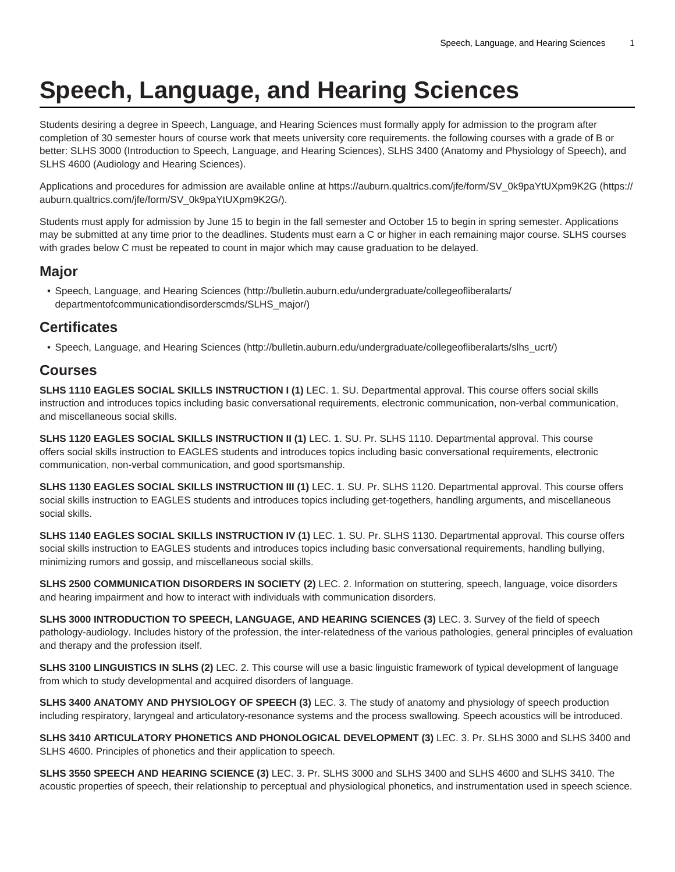## **Speech, Language, and Hearing Sciences**

Students desiring a degree in Speech, Language, and Hearing Sciences must formally apply for admission to the program after completion of 30 semester hours of course work that meets university core requirements. the following courses with a grade of B or better: SLHS 3000 (Introduction to Speech, Language, and Hearing Sciences), SLHS 3400 (Anatomy and Physiology of Speech), and SLHS 4600 (Audiology and Hearing Sciences).

Applications and procedures for admission are available online at [https://auburn.qualtrics.com/jfe/form/SV\\_0k9paYtUXpm9K2G \(https://](https://auburn.qualtrics.com/jfe/form/SV_0k9paYtUXpm9K2G/) [auburn.qualtrics.com/jfe/form/SV\\_0k9paYtUXpm9K2G/](https://auburn.qualtrics.com/jfe/form/SV_0k9paYtUXpm9K2G/)).

Students must apply for admission by June 15 to begin in the fall semester and October 15 to begin in spring semester. Applications may be submitted at any time prior to the deadlines. Students must earn a C or higher in each remaining major course. SLHS courses with grades below C must be repeated to count in major which may cause graduation to be delayed.

## **Major**

• [Speech, Language, and Hearing Sciences \(http://bulletin.auburn.edu/undergraduate/collegeofliberalarts/](http://bulletin.auburn.edu/undergraduate/collegeofliberalarts/departmentofcommunicationdisorderscmds/SLHS_major/) [departmentofcommunicationdisorderscmds/SLHS\\_major/](http://bulletin.auburn.edu/undergraduate/collegeofliberalarts/departmentofcommunicationdisorderscmds/SLHS_major/))

## **Certificates**

• [Speech, Language, and Hearing Sciences \(http://bulletin.auburn.edu/undergraduate/collegeofliberalarts/slhs\\_ucrt/\)](http://bulletin.auburn.edu/undergraduate/collegeofliberalarts/slhs_ucrt/)

## **Courses**

**SLHS 1110 EAGLES SOCIAL SKILLS INSTRUCTION I (1)** LEC. 1. SU. Departmental approval. This course offers social skills instruction and introduces topics including basic conversational requirements, electronic communication, non-verbal communication, and miscellaneous social skills.

**SLHS 1120 EAGLES SOCIAL SKILLS INSTRUCTION II (1)** LEC. 1. SU. Pr. SLHS 1110. Departmental approval. This course offers social skills instruction to EAGLES students and introduces topics including basic conversational requirements, electronic communication, non-verbal communication, and good sportsmanship.

**SLHS 1130 EAGLES SOCIAL SKILLS INSTRUCTION III (1)** LEC. 1. SU. Pr. SLHS 1120. Departmental approval. This course offers social skills instruction to EAGLES students and introduces topics including get-togethers, handling arguments, and miscellaneous social skills.

**SLHS 1140 EAGLES SOCIAL SKILLS INSTRUCTION IV (1)** LEC. 1. SU. Pr. SLHS 1130. Departmental approval. This course offers social skills instruction to EAGLES students and introduces topics including basic conversational requirements, handling bullying, minimizing rumors and gossip, and miscellaneous social skills.

**SLHS 2500 COMMUNICATION DISORDERS IN SOCIETY (2)** LEC. 2. Information on stuttering, speech, language, voice disorders and hearing impairment and how to interact with individuals with communication disorders.

**SLHS 3000 INTRODUCTION TO SPEECH, LANGUAGE, AND HEARING SCIENCES (3)** LEC. 3. Survey of the field of speech pathology-audiology. Includes history of the profession, the inter-relatedness of the various pathologies, general principles of evaluation and therapy and the profession itself.

**SLHS 3100 LINGUISTICS IN SLHS (2)** LEC. 2. This course will use a basic linguistic framework of typical development of language from which to study developmental and acquired disorders of language.

**SLHS 3400 ANATOMY AND PHYSIOLOGY OF SPEECH (3)** LEC. 3. The study of anatomy and physiology of speech production including respiratory, laryngeal and articulatory-resonance systems and the process swallowing. Speech acoustics will be introduced.

**SLHS 3410 ARTICULATORY PHONETICS AND PHONOLOGICAL DEVELOPMENT (3)** LEC. 3. Pr. SLHS 3000 and SLHS 3400 and SLHS 4600. Principles of phonetics and their application to speech.

**SLHS 3550 SPEECH AND HEARING SCIENCE (3)** LEC. 3. Pr. SLHS 3000 and SLHS 3400 and SLHS 4600 and SLHS 3410. The acoustic properties of speech, their relationship to perceptual and physiological phonetics, and instrumentation used in speech science.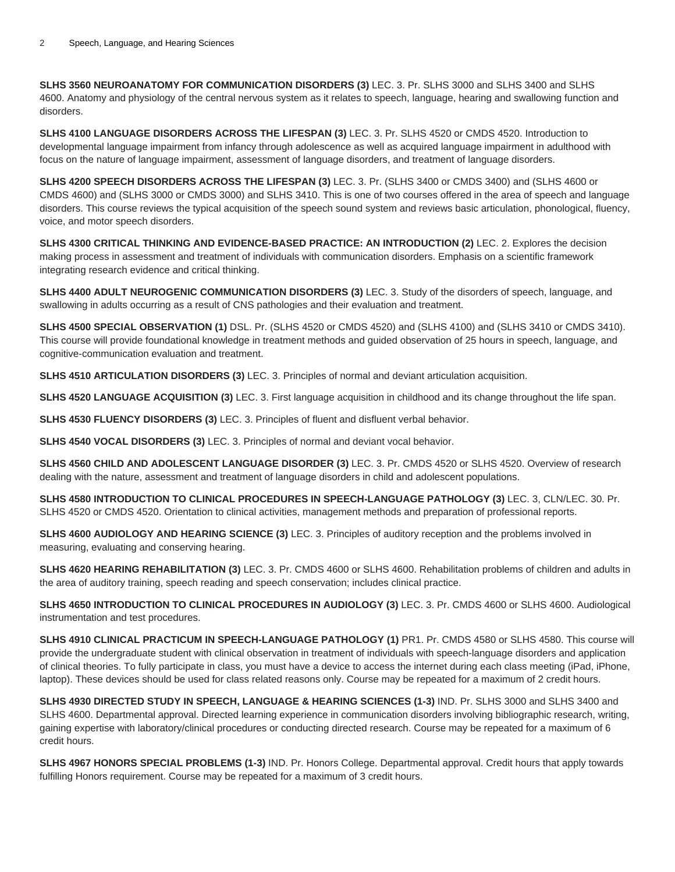**SLHS 3560 NEUROANATOMY FOR COMMUNICATION DISORDERS (3)** LEC. 3. Pr. SLHS 3000 and SLHS 3400 and SLHS 4600. Anatomy and physiology of the central nervous system as it relates to speech, language, hearing and swallowing function and disorders.

**SLHS 4100 LANGUAGE DISORDERS ACROSS THE LIFESPAN (3)** LEC. 3. Pr. SLHS 4520 or CMDS 4520. Introduction to developmental language impairment from infancy through adolescence as well as acquired language impairment in adulthood with focus on the nature of language impairment, assessment of language disorders, and treatment of language disorders.

**SLHS 4200 SPEECH DISORDERS ACROSS THE LIFESPAN (3)** LEC. 3. Pr. (SLHS 3400 or CMDS 3400) and (SLHS 4600 or CMDS 4600) and (SLHS 3000 or CMDS 3000) and SLHS 3410. This is one of two courses offered in the area of speech and language disorders. This course reviews the typical acquisition of the speech sound system and reviews basic articulation, phonological, fluency, voice, and motor speech disorders.

**SLHS 4300 CRITICAL THINKING AND EVIDENCE-BASED PRACTICE: AN INTRODUCTION (2)** LEC. 2. Explores the decision making process in assessment and treatment of individuals with communication disorders. Emphasis on a scientific framework integrating research evidence and critical thinking.

**SLHS 4400 ADULT NEUROGENIC COMMUNICATION DISORDERS (3)** LEC. 3. Study of the disorders of speech, language, and swallowing in adults occurring as a result of CNS pathologies and their evaluation and treatment.

**SLHS 4500 SPECIAL OBSERVATION (1)** DSL. Pr. (SLHS 4520 or CMDS 4520) and (SLHS 4100) and (SLHS 3410 or CMDS 3410). This course will provide foundational knowledge in treatment methods and guided observation of 25 hours in speech, language, and cognitive-communication evaluation and treatment.

**SLHS 4510 ARTICULATION DISORDERS (3)** LEC. 3. Principles of normal and deviant articulation acquisition.

**SLHS 4520 LANGUAGE ACQUISITION (3)** LEC. 3. First language acquisition in childhood and its change throughout the life span.

**SLHS 4530 FLUENCY DISORDERS (3)** LEC. 3. Principles of fluent and disfluent verbal behavior.

**SLHS 4540 VOCAL DISORDERS (3)** LEC. 3. Principles of normal and deviant vocal behavior.

**SLHS 4560 CHILD AND ADOLESCENT LANGUAGE DISORDER (3)** LEC. 3. Pr. CMDS 4520 or SLHS 4520. Overview of research dealing with the nature, assessment and treatment of language disorders in child and adolescent populations.

**SLHS 4580 INTRODUCTION TO CLINICAL PROCEDURES IN SPEECH-LANGUAGE PATHOLOGY (3)** LEC. 3, CLN/LEC. 30. Pr. SLHS 4520 or CMDS 4520. Orientation to clinical activities, management methods and preparation of professional reports.

**SLHS 4600 AUDIOLOGY AND HEARING SCIENCE (3)** LEC. 3. Principles of auditory reception and the problems involved in measuring, evaluating and conserving hearing.

**SLHS 4620 HEARING REHABILITATION (3)** LEC. 3. Pr. CMDS 4600 or SLHS 4600. Rehabilitation problems of children and adults in the area of auditory training, speech reading and speech conservation; includes clinical practice.

**SLHS 4650 INTRODUCTION TO CLINICAL PROCEDURES IN AUDIOLOGY (3)** LEC. 3. Pr. CMDS 4600 or SLHS 4600. Audiological instrumentation and test procedures.

**SLHS 4910 CLINICAL PRACTICUM IN SPEECH-LANGUAGE PATHOLOGY (1)** PR1. Pr. CMDS 4580 or SLHS 4580. This course will provide the undergraduate student with clinical observation in treatment of individuals with speech-language disorders and application of clinical theories. To fully participate in class, you must have a device to access the internet during each class meeting (iPad, iPhone, laptop). These devices should be used for class related reasons only. Course may be repeated for a maximum of 2 credit hours.

**SLHS 4930 DIRECTED STUDY IN SPEECH, LANGUAGE & HEARING SCIENCES (1-3)** IND. Pr. SLHS 3000 and SLHS 3400 and SLHS 4600. Departmental approval. Directed learning experience in communication disorders involving bibliographic research, writing, gaining expertise with laboratory/clinical procedures or conducting directed research. Course may be repeated for a maximum of 6 credit hours.

**SLHS 4967 HONORS SPECIAL PROBLEMS (1-3)** IND. Pr. Honors College. Departmental approval. Credit hours that apply towards fulfilling Honors requirement. Course may be repeated for a maximum of 3 credit hours.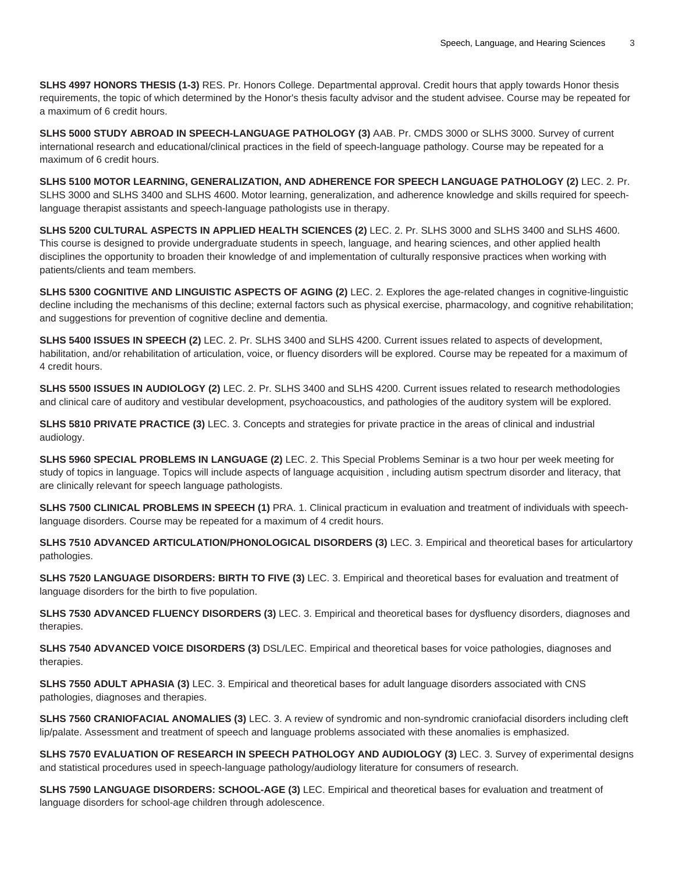**SLHS 4997 HONORS THESIS (1-3)** RES. Pr. Honors College. Departmental approval. Credit hours that apply towards Honor thesis requirements, the topic of which determined by the Honor's thesis faculty advisor and the student advisee. Course may be repeated for a maximum of 6 credit hours.

**SLHS 5000 STUDY ABROAD IN SPEECH-LANGUAGE PATHOLOGY (3)** AAB. Pr. CMDS 3000 or SLHS 3000. Survey of current international research and educational/clinical practices in the field of speech-language pathology. Course may be repeated for a maximum of 6 credit hours.

**SLHS 5100 MOTOR LEARNING, GENERALIZATION, AND ADHERENCE FOR SPEECH LANGUAGE PATHOLOGY (2)** LEC. 2. Pr. SLHS 3000 and SLHS 3400 and SLHS 4600. Motor learning, generalization, and adherence knowledge and skills required for speechlanguage therapist assistants and speech-language pathologists use in therapy.

**SLHS 5200 CULTURAL ASPECTS IN APPLIED HEALTH SCIENCES (2)** LEC. 2. Pr. SLHS 3000 and SLHS 3400 and SLHS 4600. This course is designed to provide undergraduate students in speech, language, and hearing sciences, and other applied health disciplines the opportunity to broaden their knowledge of and implementation of culturally responsive practices when working with patients/clients and team members.

**SLHS 5300 COGNITIVE AND LINGUISTIC ASPECTS OF AGING (2)** LEC. 2. Explores the age-related changes in cognitive-linguistic decline including the mechanisms of this decline; external factors such as physical exercise, pharmacology, and cognitive rehabilitation; and suggestions for prevention of cognitive decline and dementia.

**SLHS 5400 ISSUES IN SPEECH (2)** LEC. 2. Pr. SLHS 3400 and SLHS 4200. Current issues related to aspects of development, habilitation, and/or rehabilitation of articulation, voice, or fluency disorders will be explored. Course may be repeated for a maximum of 4 credit hours.

**SLHS 5500 ISSUES IN AUDIOLOGY (2)** LEC. 2. Pr. SLHS 3400 and SLHS 4200. Current issues related to research methodologies and clinical care of auditory and vestibular development, psychoacoustics, and pathologies of the auditory system will be explored.

**SLHS 5810 PRIVATE PRACTICE (3)** LEC. 3. Concepts and strategies for private practice in the areas of clinical and industrial audiology.

**SLHS 5960 SPECIAL PROBLEMS IN LANGUAGE (2)** LEC. 2. This Special Problems Seminar is a two hour per week meeting for study of topics in language. Topics will include aspects of language acquisition , including autism spectrum disorder and literacy, that are clinically relevant for speech language pathologists.

**SLHS 7500 CLINICAL PROBLEMS IN SPEECH (1)** PRA. 1. Clinical practicum in evaluation and treatment of individuals with speechlanguage disorders. Course may be repeated for a maximum of 4 credit hours.

**SLHS 7510 ADVANCED ARTICULATION/PHONOLOGICAL DISORDERS (3)** LEC. 3. Empirical and theoretical bases for articulartory pathologies.

**SLHS 7520 LANGUAGE DISORDERS: BIRTH TO FIVE (3)** LEC. 3. Empirical and theoretical bases for evaluation and treatment of language disorders for the birth to five population.

**SLHS 7530 ADVANCED FLUENCY DISORDERS (3)** LEC. 3. Empirical and theoretical bases for dysfluency disorders, diagnoses and therapies.

**SLHS 7540 ADVANCED VOICE DISORDERS (3)** DSL/LEC. Empirical and theoretical bases for voice pathologies, diagnoses and therapies.

**SLHS 7550 ADULT APHASIA (3)** LEC. 3. Empirical and theoretical bases for adult language disorders associated with CNS pathologies, diagnoses and therapies.

**SLHS 7560 CRANIOFACIAL ANOMALIES (3)** LEC. 3. A review of syndromic and non-syndromic craniofacial disorders including cleft lip/palate. Assessment and treatment of speech and language problems associated with these anomalies is emphasized.

**SLHS 7570 EVALUATION OF RESEARCH IN SPEECH PATHOLOGY AND AUDIOLOGY (3)** LEC. 3. Survey of experimental designs and statistical procedures used in speech-language pathology/audiology literature for consumers of research.

**SLHS 7590 LANGUAGE DISORDERS: SCHOOL-AGE (3)** LEC. Empirical and theoretical bases for evaluation and treatment of language disorders for school-age children through adolescence.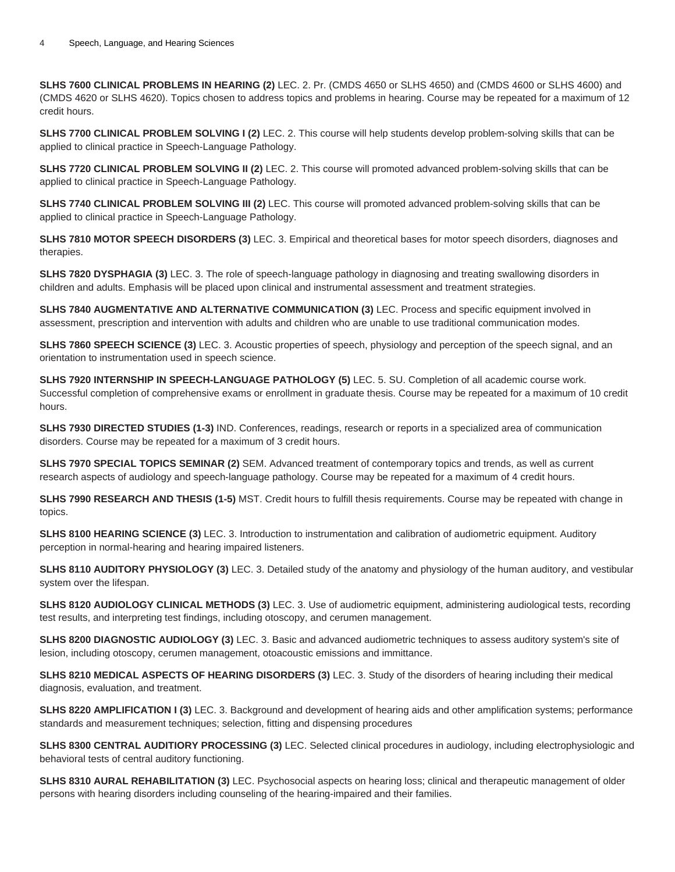**SLHS 7600 CLINICAL PROBLEMS IN HEARING (2)** LEC. 2. Pr. (CMDS 4650 or SLHS 4650) and (CMDS 4600 or SLHS 4600) and (CMDS 4620 or SLHS 4620). Topics chosen to address topics and problems in hearing. Course may be repeated for a maximum of 12 credit hours.

**SLHS 7700 CLINICAL PROBLEM SOLVING I (2)** LEC. 2. This course will help students develop problem-solving skills that can be applied to clinical practice in Speech-Language Pathology.

**SLHS 7720 CLINICAL PROBLEM SOLVING II (2)** LEC. 2. This course will promoted advanced problem-solving skills that can be applied to clinical practice in Speech-Language Pathology.

**SLHS 7740 CLINICAL PROBLEM SOLVING III (2)** LEC. This course will promoted advanced problem-solving skills that can be applied to clinical practice in Speech-Language Pathology.

**SLHS 7810 MOTOR SPEECH DISORDERS (3)** LEC. 3. Empirical and theoretical bases for motor speech disorders, diagnoses and therapies.

**SLHS 7820 DYSPHAGIA (3)** LEC. 3. The role of speech-language pathology in diagnosing and treating swallowing disorders in children and adults. Emphasis will be placed upon clinical and instrumental assessment and treatment strategies.

**SLHS 7840 AUGMENTATIVE AND ALTERNATIVE COMMUNICATION (3)** LEC. Process and specific equipment involved in assessment, prescription and intervention with adults and children who are unable to use traditional communication modes.

**SLHS 7860 SPEECH SCIENCE (3)** LEC. 3. Acoustic properties of speech, physiology and perception of the speech signal, and an orientation to instrumentation used in speech science.

**SLHS 7920 INTERNSHIP IN SPEECH-LANGUAGE PATHOLOGY (5)** LEC. 5. SU. Completion of all academic course work. Successful completion of comprehensive exams or enrollment in graduate thesis. Course may be repeated for a maximum of 10 credit hours.

**SLHS 7930 DIRECTED STUDIES (1-3)** IND. Conferences, readings, research or reports in a specialized area of communication disorders. Course may be repeated for a maximum of 3 credit hours.

**SLHS 7970 SPECIAL TOPICS SEMINAR (2)** SEM. Advanced treatment of contemporary topics and trends, as well as current research aspects of audiology and speech-language pathology. Course may be repeated for a maximum of 4 credit hours.

**SLHS 7990 RESEARCH AND THESIS (1-5)** MST. Credit hours to fulfill thesis requirements. Course may be repeated with change in topics.

**SLHS 8100 HEARING SCIENCE (3)** LEC. 3. Introduction to instrumentation and calibration of audiometric equipment. Auditory perception in normal-hearing and hearing impaired listeners.

**SLHS 8110 AUDITORY PHYSIOLOGY (3)** LEC. 3. Detailed study of the anatomy and physiology of the human auditory, and vestibular system over the lifespan.

**SLHS 8120 AUDIOLOGY CLINICAL METHODS (3)** LEC. 3. Use of audiometric equipment, administering audiological tests, recording test results, and interpreting test findings, including otoscopy, and cerumen management.

**SLHS 8200 DIAGNOSTIC AUDIOLOGY (3)** LEC. 3. Basic and advanced audiometric techniques to assess auditory system's site of lesion, including otoscopy, cerumen management, otoacoustic emissions and immittance.

**SLHS 8210 MEDICAL ASPECTS OF HEARING DISORDERS (3)** LEC. 3. Study of the disorders of hearing including their medical diagnosis, evaluation, and treatment.

**SLHS 8220 AMPLIFICATION I (3)** LEC. 3. Background and development of hearing aids and other amplification systems; performance standards and measurement techniques; selection, fitting and dispensing procedures

**SLHS 8300 CENTRAL AUDITIORY PROCESSING (3)** LEC. Selected clinical procedures in audiology, including electrophysiologic and behavioral tests of central auditory functioning.

**SLHS 8310 AURAL REHABILITATION (3)** LEC. Psychosocial aspects on hearing loss; clinical and therapeutic management of older persons with hearing disorders including counseling of the hearing-impaired and their families.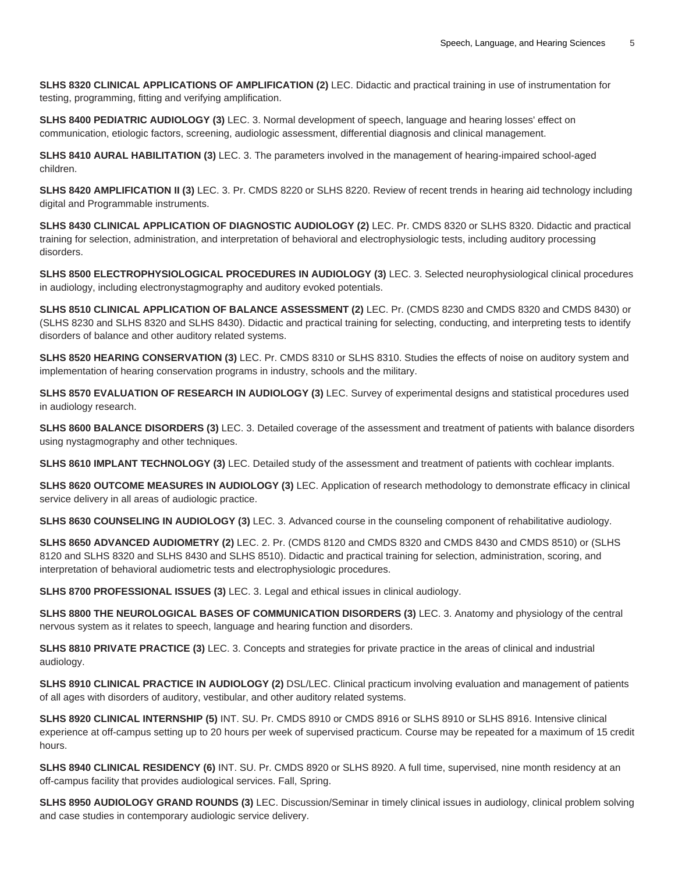**SLHS 8320 CLINICAL APPLICATIONS OF AMPLIFICATION (2)** LEC. Didactic and practical training in use of instrumentation for testing, programming, fitting and verifying amplification.

**SLHS 8400 PEDIATRIC AUDIOLOGY (3)** LEC. 3. Normal development of speech, language and hearing losses' effect on communication, etiologic factors, screening, audiologic assessment, differential diagnosis and clinical management.

**SLHS 8410 AURAL HABILITATION (3)** LEC. 3. The parameters involved in the management of hearing-impaired school-aged children.

**SLHS 8420 AMPLIFICATION II (3)** LEC. 3. Pr. CMDS 8220 or SLHS 8220. Review of recent trends in hearing aid technology including digital and Programmable instruments.

**SLHS 8430 CLINICAL APPLICATION OF DIAGNOSTIC AUDIOLOGY (2)** LEC. Pr. CMDS 8320 or SLHS 8320. Didactic and practical training for selection, administration, and interpretation of behavioral and electrophysiologic tests, including auditory processing disorders.

**SLHS 8500 ELECTROPHYSIOLOGICAL PROCEDURES IN AUDIOLOGY (3)** LEC. 3. Selected neurophysiological clinical procedures in audiology, including electronystagmography and auditory evoked potentials.

**SLHS 8510 CLINICAL APPLICATION OF BALANCE ASSESSMENT (2)** LEC. Pr. (CMDS 8230 and CMDS 8320 and CMDS 8430) or (SLHS 8230 and SLHS 8320 and SLHS 8430). Didactic and practical training for selecting, conducting, and interpreting tests to identify disorders of balance and other auditory related systems.

**SLHS 8520 HEARING CONSERVATION (3)** LEC. Pr. CMDS 8310 or SLHS 8310. Studies the effects of noise on auditory system and implementation of hearing conservation programs in industry, schools and the military.

**SLHS 8570 EVALUATION OF RESEARCH IN AUDIOLOGY (3)** LEC. Survey of experimental designs and statistical procedures used in audiology research.

**SLHS 8600 BALANCE DISORDERS (3)** LEC. 3. Detailed coverage of the assessment and treatment of patients with balance disorders using nystagmography and other techniques.

**SLHS 8610 IMPLANT TECHNOLOGY (3)** LEC. Detailed study of the assessment and treatment of patients with cochlear implants.

**SLHS 8620 OUTCOME MEASURES IN AUDIOLOGY (3)** LEC. Application of research methodology to demonstrate efficacy in clinical service delivery in all areas of audiologic practice.

**SLHS 8630 COUNSELING IN AUDIOLOGY (3)** LEC. 3. Advanced course in the counseling component of rehabilitative audiology.

**SLHS 8650 ADVANCED AUDIOMETRY (2)** LEC. 2. Pr. (CMDS 8120 and CMDS 8320 and CMDS 8430 and CMDS 8510) or (SLHS 8120 and SLHS 8320 and SLHS 8430 and SLHS 8510). Didactic and practical training for selection, administration, scoring, and interpretation of behavioral audiometric tests and electrophysiologic procedures.

**SLHS 8700 PROFESSIONAL ISSUES (3)** LEC. 3. Legal and ethical issues in clinical audiology.

**SLHS 8800 THE NEUROLOGICAL BASES OF COMMUNICATION DISORDERS (3)** LEC. 3. Anatomy and physiology of the central nervous system as it relates to speech, language and hearing function and disorders.

**SLHS 8810 PRIVATE PRACTICE (3)** LEC. 3. Concepts and strategies for private practice in the areas of clinical and industrial audiology.

**SLHS 8910 CLINICAL PRACTICE IN AUDIOLOGY (2)** DSL/LEC. Clinical practicum involving evaluation and management of patients of all ages with disorders of auditory, vestibular, and other auditory related systems.

**SLHS 8920 CLINICAL INTERNSHIP (5)** INT. SU. Pr. CMDS 8910 or CMDS 8916 or SLHS 8910 or SLHS 8916. Intensive clinical experience at off-campus setting up to 20 hours per week of supervised practicum. Course may be repeated for a maximum of 15 credit hours.

**SLHS 8940 CLINICAL RESIDENCY (6)** INT. SU. Pr. CMDS 8920 or SLHS 8920. A full time, supervised, nine month residency at an off-campus facility that provides audiological services. Fall, Spring.

**SLHS 8950 AUDIOLOGY GRAND ROUNDS (3)** LEC. Discussion/Seminar in timely clinical issues in audiology, clinical problem solving and case studies in contemporary audiologic service delivery.